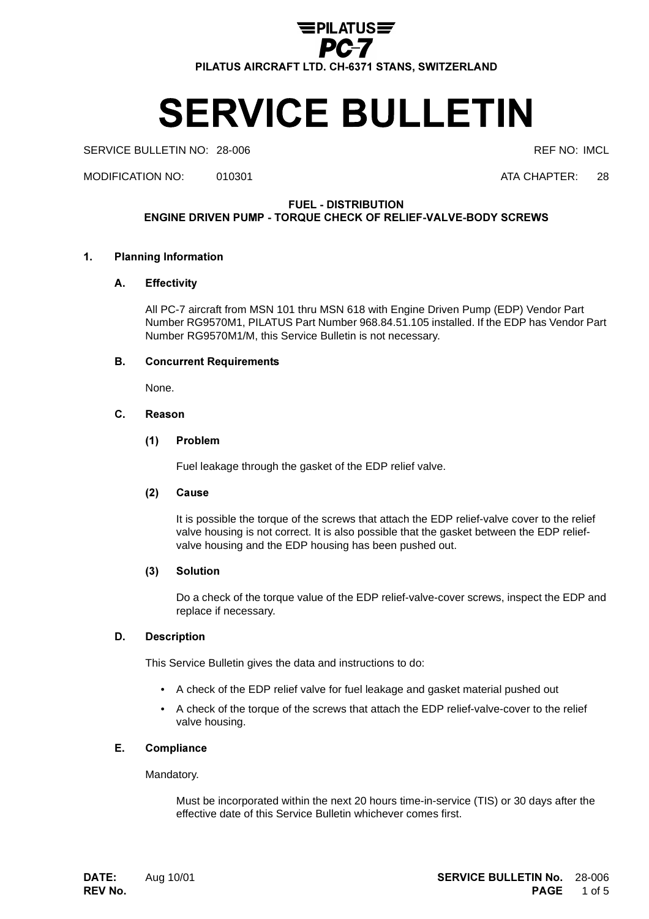

# **SERVICE BULLETIN**

SERVICE BULLETIN NO: 28-006 **REF NO: IMCL** REF NO: IMCL

MODIFICATION NO: 010301 ATA CHAPTER: 28

**FUEL - DISTRIBUTION** 

ENGINE DRIVEN PUMP - TORQUE CHECK OF RELIEF-VALVE-BODY SCREWS

## 1. Planning Information

#### A. **Effectivity**

All PC-7 aircraft from MSN 101 thru MSN 618 with Engine Driven Pump (EDP) Vendor Part Number RG9570M1, PILATUS Part Number 968.84.51.105 installed. If the EDP has Vendor Part Number RG9570M1/M, this Service Bulletin is not necessary.

#### $B<sub>1</sub>$ **Concurrent Requirements**

None.

#### $C_{-}$ Reason

# (1) Problem

Fuel leakage through the gasket of the EDP relief valve.

#### $(2)$ **Cause**

It is possible the torque of the screws that attach the EDP relief-valve cover to the relief valve housing is not correct. It is also possible that the gasket between the EDP reliefvalve housing and the EDP housing has been pushed out.

## (3) Solution

Do a check of the torque value of the EDP relief-valve-cover screws, inspect the EDP and replace if necessary.

# D. Description

This Service Bulletin gives the data and instructions to do:

- A check of the EDP relief valve for fuel leakage and gasket material pushed out
- A check of the torque of the screws that attach the EDP relief-valve-cover to the relief valve housing.

#### E. Compliance

Mandatory.

Must be incorporated within the next 20 hours time-in-service (TIS) or 30 days after the effective date of this Service Bulletin whichever comes first.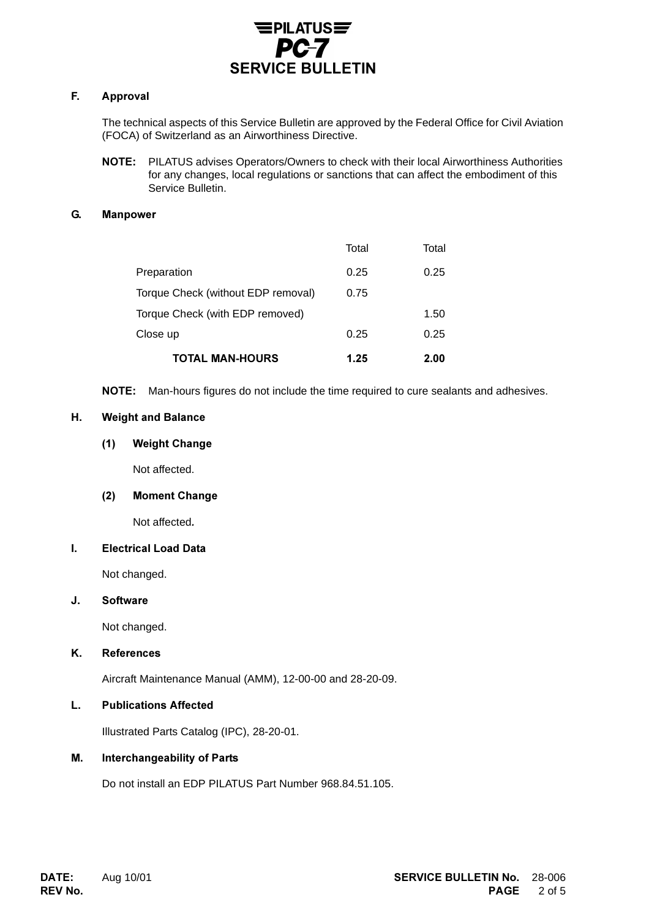

#### F. Approval

The technical aspects of this Service Bulletin are approved by the Federal Office for Civil Aviation (FOCA) of Switzerland as an Airworthiness Directive.

NOTE: PILATUS advises Operators/Owners to check with their local Airworthiness Authorities for any changes, local regulations or sanctions that can affect the embodiment of this Service Bulletin.

# G. Manpower

| <b>TOTAL MAN-HOURS</b>             | 1.25  | 2.00  |
|------------------------------------|-------|-------|
| Close up                           | 0.25  | 0.25  |
| Torque Check (with EDP removed)    |       | 1.50  |
| Torque Check (without EDP removal) | 0.75  |       |
| Preparation                        | 0.25  | 0.25  |
|                                    | Total | Total |

NOTE: Man-hours figures do not include the time required to cure sealants and adhesives.

### H. Weight and Balance

## (1) Weight Change

Not affected.

#### (2) Moment Change

Not affected

## I. Electrical Load Data

Not changed.

## J. Software

Not changed.

## K. References

Aircraft Maintenance Manual (AMM), 12-00-00 and 28-20-09.

## L. Publications Affected

Illustrated Parts Catalog (IPC), 28-20-01.

## M. Interchangeability of Parts

Do not install an EDP PILATUS Part Number 968.84.51.105.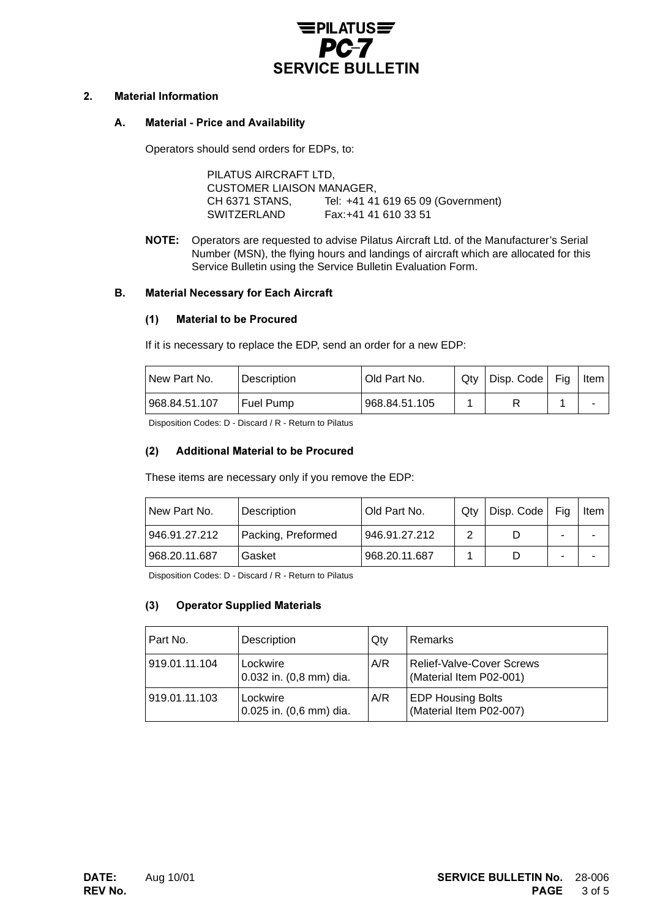

## 2. Material Information

#### A. . Material - Price and Availability

Operators should send orders for EDPs, to:

PILATUS AIRCRAFT LTD, CUSTOMER LIAISON MANAGER, CH 6371 STANS, Tel: +41 41 619 65 09 (Government) SWITZERLAND Fax:+41 41 610 33 51

NOTE: Operators are requested to advise Pilatus Aircraft Ltd. of the Manufacturer's Serial Number (MSN), the flying hours and landings of aircraft which are allocated for this Service Bulletin using the Service Bulletin Evaluation Form.

### **B.** Material Necessary for Each Aircraft

#### (1) Material to be Procured

If it is necessary to replace the EDP, send an order for a new EDP:

| New Part No.  | Description      | I Old Part No. | Qtv | Disp. Code   Fig. | Item |
|---------------|------------------|----------------|-----|-------------------|------|
| 968.84.51.107 | <b>Fuel Pump</b> | 968.84.51.105  |     |                   |      |

Disposition Codes: D - Discard / R - Return to Pilatus

#### $(2)$ Additional Material to be Procured

These items are necessary only if you remove the EDP:

| I New Part No. | Description        | Old Part No.  | Qtv | Disp. Code | Fia | Item I |
|----------------|--------------------|---------------|-----|------------|-----|--------|
| 946.91.27.212  | Packing, Preformed | 946.91.27.212 | っ   |            |     |        |
| 968.20.11.687  | Gasket             | 968.20.11.687 |     |            | -   |        |

Disposition Codes: D - Discard / R - Return to Pilatus

## (3) Operator Supplied Materials

| Part No.      | Description                         | Qty | Remarks                                                     |
|---------------|-------------------------------------|-----|-------------------------------------------------------------|
| 919.01.11.104 | Lockwire<br>0.032 in. (0,8 mm) dia. | A/R | <b>Relief-Valve-Cover Screws</b><br>(Material Item P02-001) |
| 919.01.11.103 | Lockwire<br>0.025 in. (0,6 mm) dia. | A/R | <b>EDP Housing Bolts</b><br>(Material Item P02-007)         |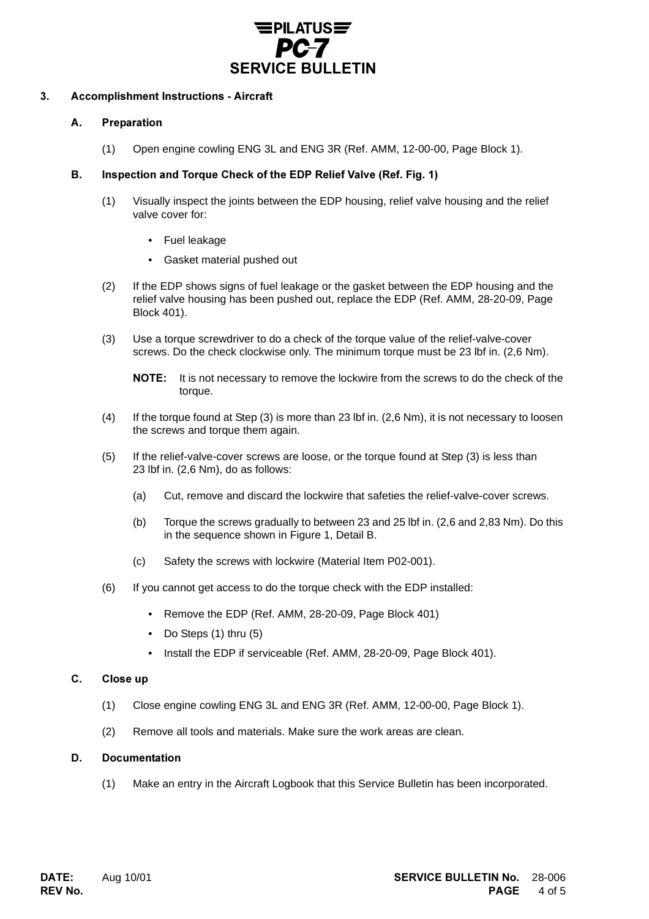

#### $3.$ ccomplishment Instructions - Aircraft

#### A. Preparation

(1) Open engine cowling ENG 3L and ENG 3R (Ref. AMM, 12-00-00, Page Block 1).

# B. Inspection and Torque Check of the EDP Relief Valve (Ref. Fig. 1)

- (1) Visually inspect the joints between the EDP housing, relief valve housing and the relief valve cover for:
	- Fuel leakage
	- Gasket material pushed out
- (2) If the EDP shows signs of fuel leakage or the gasket between the EDP housing and the relief valve housing has been pushed out, replace the EDP (Ref. AMM, 28-20-09, Page Block 401).
- (3) Use a torque screwdriver to do a check of the torque value of the relief-valve-cover screws. Do the check clockwise only. The minimum torque must be 23 lbf in. (2,6 Nm).

- (4) If the torque found at Step  $(3)$  is more than 23 lbf in.  $(2,6 \text{ Nm})$ , it is not necessary to loosen the screws and torque them again.
- (5) If the relief-valve-cover screws are loose, or the torque found at Step (3) is less than 23 lbf in. (2,6 Nm), do as follows:
	- (a) Cut, remove and discard the lockwire that safeties the relief-valve-cover screws.
	- (b) Torque the screws gradually to between 23 and 25 lbf in. (2,6 and 2,83 Nm). Do this in the sequence shown in Figure 1, Detail B.
	- (c) Safety the screws with lockwire (Material Item P02-001).
- (6) If you cannot get access to do the torque check with the EDP installed:
	- Remove the EDP (Ref. AMM, 28-20-09, Page Block 401)
	- Do Steps (1) thru (5)
	- Install the EDP if serviceable (Ref. AMM, 28-20-09, Page Block 401).

#### C. . Close up

- (1) Close engine cowling ENG 3L and ENG 3R (Ref. AMM, 12-00-00, Page Block 1).
- (2) Remove all tools and materials. Make sure the work areas are clean.

## D. Documentation

(1) Make an entry in the Aircraft Logbook that this Service Bulletin has been incorporated.

**NOTE:** It is not necessary to remove the lockwire from the screws to do the check of the torque.